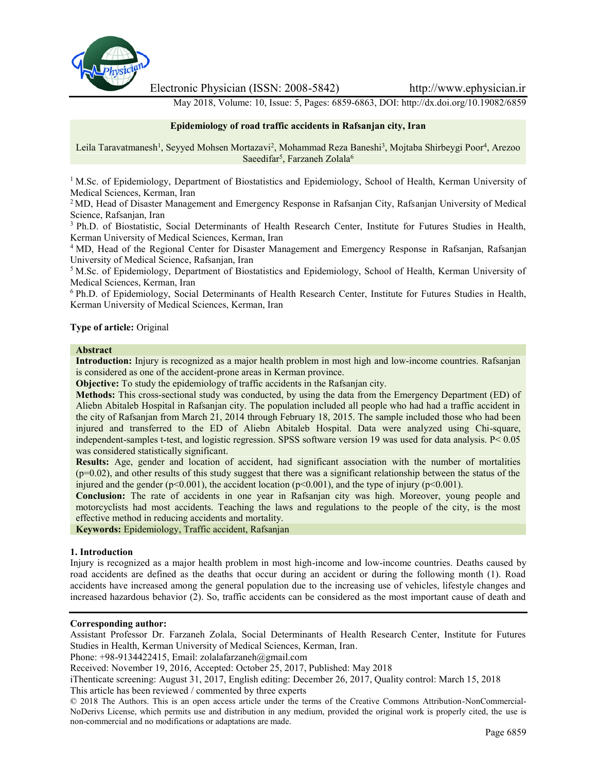

Electronic Physician (ISSN: 2008-5842) http://www.ephysician.ir

May 2018, Volume: 10, Issue: 5, Pages: 6859-6863, DOI: http://dx.doi.org/10.19082/6859

## **Epidemiology of road traffic accidents in Rafsanjan city, Iran**

Leila Taravatmanesh<sup>1</sup>, Seyyed Mohsen Mortazavi<sup>2</sup>, Mohammad Reza Baneshi<sup>3</sup>, Mojtaba Shirbeygi Poor<sup>4</sup>, Arezoo Saeedifar<sup>5</sup>, Farzaneh Zolala<sup>6</sup>

<sup>1</sup> M.Sc. of Epidemiology, Department of Biostatistics and Epidemiology, School of Health, Kerman University of Medical Sciences, Kerman, Iran

<sup>2</sup> MD, Head of Disaster Management and Emergency Response in Rafsanjan City, Rafsanjan University of Medical Science, Rafsanjan, Iran

<sup>3</sup> Ph.D. of Biostatistic, Social Determinants of Health Research Center, Institute for Futures Studies in Health, Kerman University of Medical Sciences, Kerman, Iran

<sup>4</sup> MD, Head of the Regional Center for Disaster Management and Emergency Response in Rafsanjan, Rafsanjan University of Medical Science, Rafsanjan, Iran

<sup>5</sup> M.Sc. of Epidemiology, Department of Biostatistics and Epidemiology, School of Health, Kerman University of Medical Sciences, Kerman, Iran

<sup>6</sup> Ph.D. of Epidemiology, Social Determinants of Health Research Center, Institute for Futures Studies in Health, Kerman University of Medical Sciences, Kerman, Iran

# **Type of article:** Original

#### **Abstract**

**Introduction:** Injury is recognized as a major health problem in most high and low-income countries. Rafsanjan is considered as one of the accident-prone areas in Kerman province.

**Objective:** To study the epidemiology of traffic accidents in the Rafsanian city.

**Methods:** This cross-sectional study was conducted, by using the data from the Emergency Department (ED) of Aliebn Abitaleb Hospital in Rafsanjan city. The population included all people who had had a traffic accident in the city of Rafsanjan from March 21, 2014 through February 18, 2015. The sample included those who had been injured and transferred to the ED of Aliebn Abitaleb Hospital. Data were analyzed using Chi-square, independent-samples t-test, and logistic regression. SPSS software version 19 was used for data analysis. P< 0.05 was considered statistically significant.

**Results:** Age, gender and location of accident, had significant association with the number of mortalities  $(p=0.02)$ , and other results of this study suggest that there was a significant relationship between the status of the injured and the gender ( $p<0.001$ ), the accident location ( $p<0.001$ ), and the type of injury ( $p<0.001$ ).

**Conclusion:** The rate of accidents in one year in Rafsanjan city was high. Moreover, young people and motorcyclists had most accidents. Teaching the laws and regulations to the people of the city, is the most effective method in reducing accidents and mortality.

**Keywords:** Epidemiology, Traffic accident, Rafsanjan

#### **1. Introduction**

Injury is recognized as a major health problem in most high-income and low-income countries. Deaths caused by road accidents are defined as the deaths that occur during an accident or during the following month (1). Road accidents have increased among the general population due to the increasing use of vehicles, lifestyle changes and increased hazardous behavior (2). So, traffic accidents can be considered as the most important cause of death and

#### **Corresponding author:**

Assistant Professor Dr. Farzaneh Zolala, Social Determinants of Health Research Center, Institute for Futures Studies in Health, Kerman University of Medical Sciences, Kerman, Iran.

Phone: +98-9134422415, Email: zolalafarzaneh@gmail.com

iThenticate screening: August 31, 2017, English editing: December 26, 2017, Quality control: March 15, 2018 This article has been reviewed / commented by three experts

© 2018 The Authors. This is an open access article under the terms of the Creative Commons Attribution-NonCommercial- NoDerivs License, which permits use and distribution in any medium, provided the original work is properly cited, the use is non-commercial and no modifications or adaptations are made.

Received: November 19, 2016, Accepted: October 25, 2017, Published: May 2018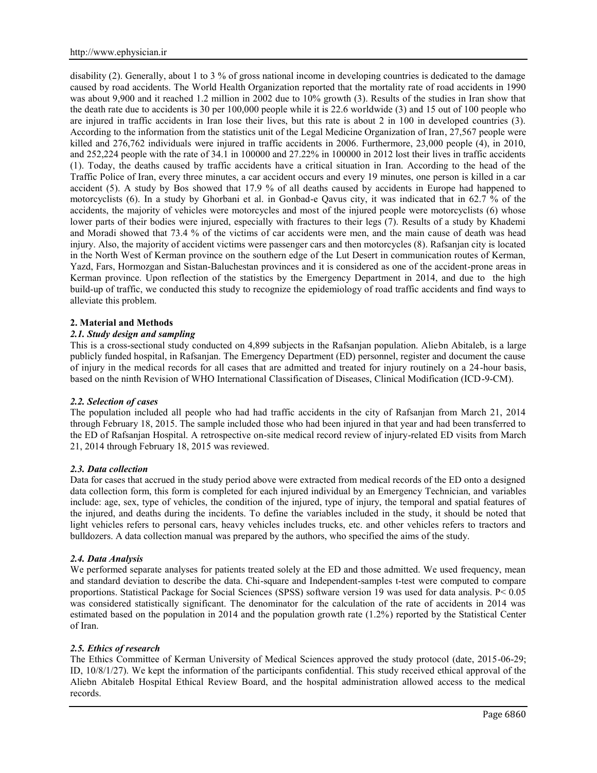disability (2). Generally, about 1 to 3 % of gross national income in developing countries is dedicated to the damage caused by road accidents. The World Health Organization reported that the mortality rate of road accidents in 1990 was about 9,900 and it reached 1.2 million in 2002 due to 10% growth (3). Results of the studies in Iran show that the death rate due to accidents is 30 per 100,000 people while it is 22.6 worldwide (3) and 15 out of 100 people who are injured in traffic accidents in Iran lose their lives, but this rate is about 2 in 100 in developed countries (3). According to the information from the statistics unit of the Legal Medicine Organization of Iran, 27,567 people were killed and 276,762 individuals were injured in traffic accidents in 2006. Furthermore, 23,000 people (4), in 2010, and 252,224 people with the rate of 34.1 in 100000 and 27.22% in 100000 in 2012 lost their lives in traffic accidents (1). Today, the deaths caused by traffic accidents have a critical situation in Iran. According to the head of the Traffic Police of Iran, every three minutes, a car accident occurs and every 19 minutes, one person is killed in a car accident (5). A study by Bos showed that 17.9 % of all deaths caused by accidents in Europe had happened to motorcyclists (6). In a study by Ghorbani et al. in Gonbad-e Qavus city, it was indicated that in 62.7 % of the accidents, the majority of vehicles were motorcycles and most of the injured people were motorcyclists (6) whose lower parts of their bodies were injured, especially with fractures to their legs (7). Results of a study by Khademi and Moradi showed that 73.4 % of the victims of car accidents were men, and the main cause of death was head injury. Also, the majority of accident victims were passenger cars and then motorcycles (8). Rafsanjan city is located in the North West of Kerman province on the southern edge of the Lut Desert in communication routes of Kerman, Yazd, Fars, Hormozgan and Sistan-Baluchestan provinces and it is considered as one of the accident-prone areas in Kerman province. Upon reflection of the statistics by the Emergency Department in 2014, and due to the high build-up of traffic, we conducted this study to recognize the epidemiology of road traffic accidents and find ways to alleviate this problem.

# **2. Material and Methods**

# *2.1. Study design and sampling*

This is a cross-sectional study conducted on 4,899 subjects in the Rafsanjan population. Aliebn Abitaleb, is a large publicly funded hospital, in Rafsanjan. The Emergency Department (ED) personnel, register and document the cause of injury in the medical records for all cases that are admitted and treated for injury routinely on a 24-hour basis, based on the ninth Revision of WHO International Classification of Diseases, Clinical Modification (ICD-9-CM).

### *2.2. Selection of cases*

The population included all people who had had traffic accidents in the city of Rafsanjan from March 21, 2014 through February 18, 2015. The sample included those who had been injured in that year and had been transferred to the ED of Rafsanjan Hospital. A retrospective on-site medical record review of injury-related ED visits from March 21, 2014 through February 18, 2015 was reviewed.

### *2.3. Data collection*

Data for cases that accrued in the study period above were extracted from medical records of the ED onto a designed data collection form, this form is completed for each injured individual by an Emergency Technician, and variables include: age, sex, type of vehicles, the condition of the injured, type of injury, the temporal and spatial features of the injured, and deaths during the incidents. To define the variables included in the study, it should be noted that light vehicles refers to personal cars, heavy vehicles includes trucks, etc. and other vehicles refers to tractors and bulldozers. A data collection manual was prepared by the authors, who specified the aims of the study.

### *2.4. Data Analysis*

We performed separate analyses for patients treated solely at the ED and those admitted. We used frequency, mean and standard deviation to describe the data. Chi-square and Independent-samples t-test were computed to compare proportions. Statistical Package for Social Sciences (SPSS) software version 19 was used for data analysis. P< 0.05 was considered statistically significant. The denominator for the calculation of the rate of accidents in 2014 was estimated based on the population in 2014 and the population growth rate (1.2%) reported by the Statistical Center of Iran.

# *2.5. Ethics of research*

The Ethics Committee of Kerman University of Medical Sciences approved the study protocol (date, 2015-06-29; ID, 10/8/1/27). We kept the information of the participants confidential. This study received ethical approval of the Aliebn Abitaleb Hospital Ethical Review Board, and the hospital administration allowed access to the medical records.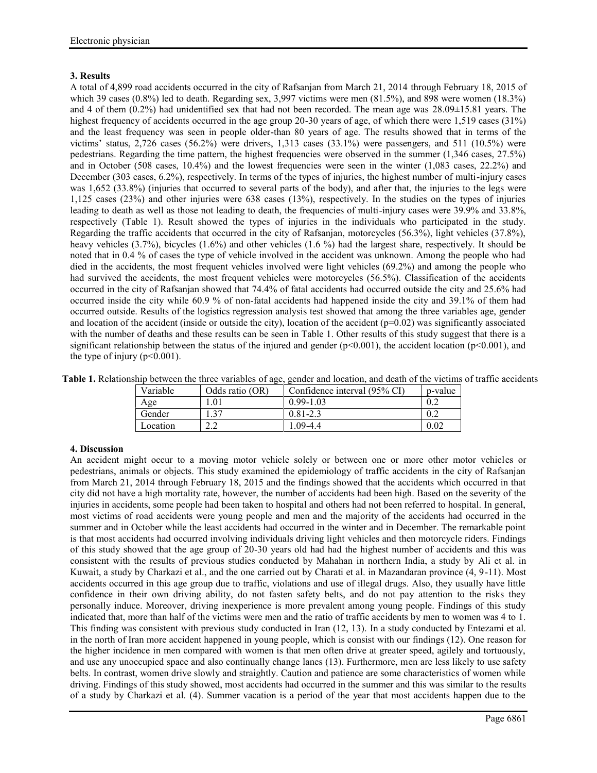# **3. Results**

A total of 4,899 road accidents occurred in the city of Rafsanjan from March 21, 2014 through February 18, 2015 of which 39 cases (0.8%) led to death. Regarding sex, 3,997 victims were men (81.5%), and 898 were women (18.3%) and 4 of them (0.2%) had unidentified sex that had not been recorded. The mean age was 28.09±15.81 years. The highest frequency of accidents occurred in the age group 20-30 years of age, of which there were 1,519 cases (31%) and the least frequency was seen in people older-than 80 years of age. The results showed that in terms of the victims' status, 2,726 cases (56.2%) were drivers, 1,313 cases (33.1%) were passengers, and 511 (10.5%) were pedestrians. Regarding the time pattern, the highest frequencies were observed in the summer (1,346 cases, 27.5%) and in October (508 cases, 10.4%) and the lowest frequencies were seen in the winter (1,083 cases, 22.2%) and December (303 cases, 6.2%), respectively. In terms of the types of injuries, the highest number of multi-injury cases was 1,652 (33.8%) (injuries that occurred to several parts of the body), and after that, the injuries to the legs were 1,125 cases (23%) and other injuries were 638 cases (13%), respectively. In the studies on the types of injuries leading to death as well as those not leading to death, the frequencies of multi-injury cases were 39.9% and 33.8%, respectively (Table 1). Result showed the types of injuries in the individuals who participated in the study. Regarding the traffic accidents that occurred in the city of Rafsanjan, motorcycles (56.3%), light vehicles (37.8%), heavy vehicles (3.7%), bicycles (1.6%) and other vehicles (1.6 %) had the largest share, respectively. It should be noted that in 0.4 % of cases the type of vehicle involved in the accident was unknown. Among the people who had died in the accidents, the most frequent vehicles involved were light vehicles (69.2%) and among the people who had survived the accidents, the most frequent vehicles were motorcycles (56.5%). Classification of the accidents occurred in the city of Rafsanjan showed that 74.4% of fatal accidents had occurred outside the city and 25.6% had occurred inside the city while 60.9 % of non-fatal accidents had happened inside the city and 39.1% of them had occurred outside. Results of the logistics regression analysis test showed that among the three variables age, gender and location of the accident (inside or outside the city), location of the accident  $(p=0.02)$  was significantly associated with the number of deaths and these results can be seen in Table 1. Other results of this study suggest that there is a significant relationship between the status of the injured and gender ( $p<0.001$ ), the accident location ( $p<0.001$ ), and the type of injury  $(p<0.001)$ .

| le 1. Relationship between the three variables of age, gender and location, and death of the victims of traffic acc |          |                 |                              |         |  |
|---------------------------------------------------------------------------------------------------------------------|----------|-----------------|------------------------------|---------|--|
|                                                                                                                     | Variable | Odds ratio (OR) | Confidence interval (95% CI) | p-value |  |
|                                                                                                                     | Age      | 1.01            | $0.99 - 1.03$                | 0.2     |  |
|                                                                                                                     | Gender   | 1.37            | $0.81 - 2.3$                 | 0.2     |  |

 $Location$  2.2 1.09-4.4  $0.02$ 

**Table 1.** Relationship between the three variables of age, gender and location, and death of the victims of traffic accidents

### **4. Discussion**

An accident might occur to a moving motor vehicle solely or between one or more other motor vehicles or pedestrians, animals or objects. This study examined the epidemiology of traffic accidents in the city of Rafsanjan from March 21, 2014 through February 18, 2015 and the findings showed that the accidents which occurred in that city did not have a high mortality rate, however, the number of accidents had been high. Based on the severity of the injuries in accidents, some people had been taken to hospital and others had not been referred to hospital. In general, most victims of road accidents were young people and men and the majority of the accidents had occurred in the summer and in October while the least accidents had occurred in the winter and in December. The remarkable point is that most accidents had occurred involving individuals driving light vehicles and then motorcycle riders. Findings of this study showed that the age group of 20-30 years old had had the highest number of accidents and this was consistent with the results of previous studies conducted by Mahahan in northern India, a study by Ali et al. in Kuwait, a study by Charkazi et al., and the one carried out by Charati et al. in Mazandaran province (4, 9-11). Most accidents occurred in this age group due to traffic, violations and use of illegal drugs. Also, they usually have little confidence in their own driving ability, do not fasten safety belts, and do not pay attention to the risks they personally induce. Moreover, driving inexperience is more prevalent among young people. Findings of this study indicated that, more than half of the victims were men and the ratio of traffic accidents by men to women was 4 to 1. This finding was consistent with previous study conducted in Iran (12, 13). In a study conducted by Entezami et al. in the north of Iran more accident happened in young people, which is consist with our findings (12). One reason for the higher incidence in men compared with women is that men often drive at greater speed, agilely and tortuously, and use any unoccupied space and also continually change lanes (13). Furthermore, men are less likely to use safety belts. In contrast, women drive slowly and straightly. Caution and patience are some characteristics of women while driving. Findings of this study showed, most accidents had occurred in the summer and this was similar to the results of a study by Charkazi et al. (4). Summer vacation is a period of the year that most accidents happen due to the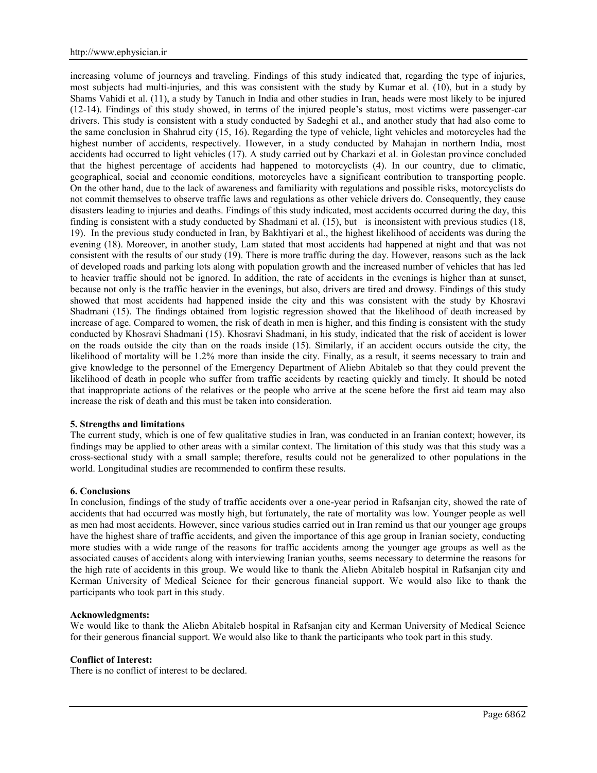increasing volume of journeys and traveling. Findings of this study indicated that, regarding the type of injuries, most subjects had multi-injuries, and this was consistent with the study by Kumar et al. (10), but in a study by Shams Vahidi et al. (11), a study by Tanuch in India and other studies in Iran, heads were most likely to be injured (12-14). Findings of this study showed, in terms of the injured people's status, most victims were passenger-car drivers. This study is consistent with a study conducted by Sadeghi et al., and another study that had also come to the same conclusion in Shahrud city (15, 16). Regarding the type of vehicle, light vehicles and motorcycles had the highest number of accidents, respectively. However, in a study conducted by Mahajan in northern India, most accidents had occurred to light vehicles (17). A study carried out by Charkazi et al. in Golestan province concluded that the highest percentage of accidents had happened to motorcyclists (4). In our country, due to climatic, geographical, social and economic conditions, motorcycles have a significant contribution to transporting people. On the other hand, due to the lack of awareness and familiarity with regulations and possible risks, motorcyclists do not commit themselves to observe traffic laws and regulations as other vehicle drivers do. Consequently, they cause disasters leading to injuries and deaths. Findings of this study indicated, most accidents occurred during the day, this finding is consistent with a study conducted by Shadmani et al. (15), but is inconsistent with previous studies (18, 19). In the previous study conducted in Iran, by Bakhtiyari et al., the highest likelihood of accidents was during the evening (18). Moreover, in another study, Lam stated that most accidents had happened at night and that was not consistent with the results of our study (19). There is more traffic during the day. However, reasons such as the lack of developed roads and parking lots along with population growth and the increased number of vehicles that has led to heavier traffic should not be ignored. In addition, the rate of accidents in the evenings is higher than at sunset, because not only is the traffic heavier in the evenings, but also, drivers are tired and drowsy. Findings of this study showed that most accidents had happened inside the city and this was consistent with the study by Khosravi Shadmani (15). The findings obtained from logistic regression showed that the likelihood of death increased by increase of age. Compared to women, the risk of death in men is higher, and this finding is consistent with the study conducted by Khosravi Shadmani (15). Khosravi Shadmani, in his study, indicated that the risk of accident is lower on the roads outside the city than on the roads inside (15). Similarly, if an accident occurs outside the city, the likelihood of mortality will be 1.2% more than inside the city. Finally, as a result, it seems necessary to train and give knowledge to the personnel of the Emergency Department of Aliebn Abitaleb so that they could prevent the likelihood of death in people who suffer from traffic accidents by reacting quickly and timely. It should be noted that inappropriate actions of the relatives or the people who arrive at the scene before the first aid team may also increase the risk of death and this must be taken into consideration.

### **5. Strengths and limitations**

The current study, which is one of few qualitative studies in Iran, was conducted in an Iranian context; however, its findings may be applied to other areas with a similar context. The limitation of this study was that this study was a cross-sectional study with a small sample; therefore, results could not be generalized to other populations in the world. Longitudinal studies are recommended to confirm these results.

### **6. Conclusions**

In conclusion, findings of the study of traffic accidents over a one-year period in Rafsanjan city, showed the rate of accidents that had occurred was mostly high, but fortunately, the rate of mortality was low. Younger people as well as men had most accidents. However, since various studies carried out in Iran remind us that our younger age groups have the highest share of traffic accidents, and given the importance of this age group in Iranian society, conducting more studies with a wide range of the reasons for traffic accidents among the younger age groups as well as the associated causes of accidents along with interviewing Iranian youths, seems necessary to determine the reasons for the high rate of accidents in this group. We would like to thank the Aliebn Abitaleb hospital in Rafsanjan city and Kerman University of Medical Science for their generous financial support. We would also like to thank the participants who took part in this study.

## **Acknowledgments:**

We would like to thank the Aliebn Abitaleb hospital in Rafsanjan city and Kerman University of Medical Science for their generous financial support. We would also like to thank the participants who took part in this study.

### **Conflict of Interest:**

There is no conflict of interest to be declared.